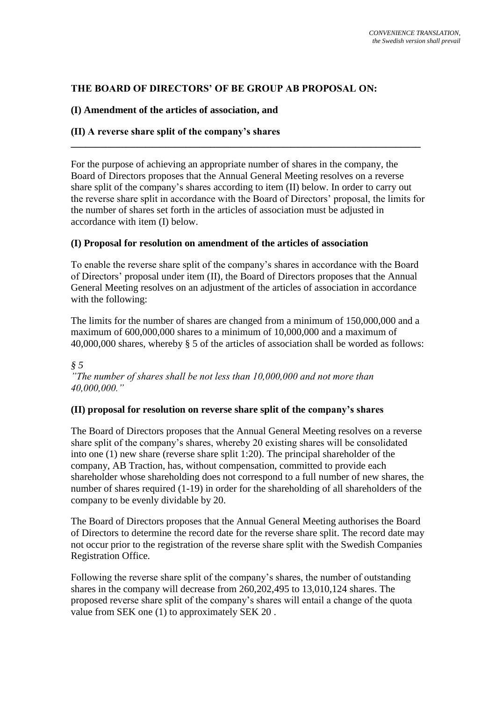# **THE BOARD OF DIRECTORS' OF BE GROUP AB PROPOSAL ON:**

## **(I) Amendment of the articles of association, and**

# **(II) A reverse share split of the company's shares**

For the purpose of achieving an appropriate number of shares in the company, the Board of Directors proposes that the Annual General Meeting resolves on a reverse share split of the company's shares according to item (II) below. In order to carry out the reverse share split in accordance with the Board of Directors' proposal, the limits for the number of shares set forth in the articles of association must be adjusted in accordance with item (I) below.

**\_\_\_\_\_\_\_\_\_\_\_\_\_\_\_\_\_\_\_\_\_\_\_\_\_\_\_\_\_\_\_\_\_\_\_\_\_\_\_\_\_\_\_\_\_\_\_\_\_\_\_\_\_\_\_\_\_\_\_\_\_\_\_\_\_\_\_\_\_\_**

## **(I) Proposal for resolution on amendment of the articles of association**

To enable the reverse share split of the company's shares in accordance with the Board of Directors' proposal under item (II), the Board of Directors proposes that the Annual General Meeting resolves on an adjustment of the articles of association in accordance with the following:

The limits for the number of shares are changed from a minimum of 150,000,000 and a maximum of 600,000,000 shares to a minimum of 10,000,000 and a maximum of 40,000,000 shares, whereby § 5 of the articles of association shall be worded as follows:

*§ 5 "The number of shares shall be not less than 10,000,000 and not more than 40,000,000."*

#### **(II) proposal for resolution on reverse share split of the company's shares**

The Board of Directors proposes that the Annual General Meeting resolves on a reverse share split of the company's shares, whereby 20 existing shares will be consolidated into one (1) new share (reverse share split 1:20). The principal shareholder of the company, AB Traction, has, without compensation, committed to provide each shareholder whose shareholding does not correspond to a full number of new shares, the number of shares required (1-19) in order for the shareholding of all shareholders of the company to be evenly dividable by 20.

The Board of Directors proposes that the Annual General Meeting authorises the Board of Directors to determine the record date for the reverse share split. The record date may not occur prior to the registration of the reverse share split with the Swedish Companies Registration Office.

Following the reverse share split of the company's shares, the number of outstanding shares in the company will decrease from 260,202,495 to 13,010,124 shares. The proposed reverse share split of the company's shares will entail a change of the quota value from SEK one (1) to approximately SEK 20 .